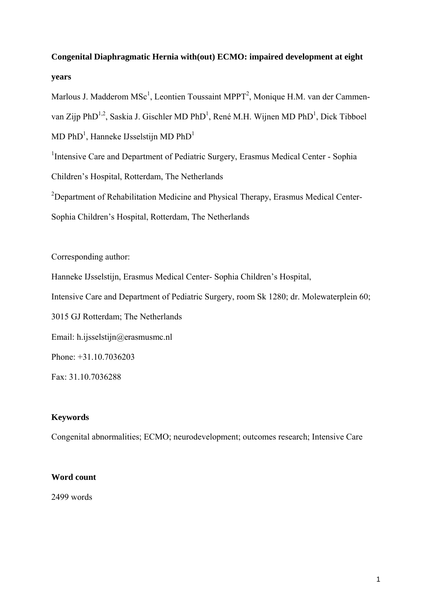# **Congenital Diaphragmatic Hernia with(out) ECMO: impaired development at eight years**

Marlous J. Madderom  $MSc<sup>1</sup>$ , Leontien Toussaint MPPT<sup>2</sup>, Monique H.M. van der Cammenvan Zijp PhD<sup>1,2</sup>, Saskia J. Gischler MD PhD<sup>1</sup>, René M.H. Wijnen MD PhD<sup>1</sup>, Dick Tibboel  $MD PhD<sup>1</sup>$ , Hanneke IJsselstijn MD PhD<sup>1</sup>

<sup>1</sup>Intensive Care and Department of Pediatric Surgery, Erasmus Medical Center - Sophia Children's Hospital, Rotterdam, The Netherlands  $2$ Department of Rehabilitation Medicine and Physical Therapy, Erasmus Medical Center-

Sophia Children's Hospital, Rotterdam, The Netherlands

Corresponding author:

Hanneke IJsselstijn, Erasmus Medical Center- Sophia Children's Hospital,

Intensive Care and Department of Pediatric Surgery, room Sk 1280; dr. Molewaterplein 60;

3015 GJ Rotterdam; The Netherlands

Email: h.ijsselstijn@erasmusmc.nl

Phone: +31.10.7036203

Fax: 31.10.7036288

# **Keywords**

Congenital abnormalities; ECMO; neurodevelopment; outcomes research; Intensive Care

# **Word count**

2499 words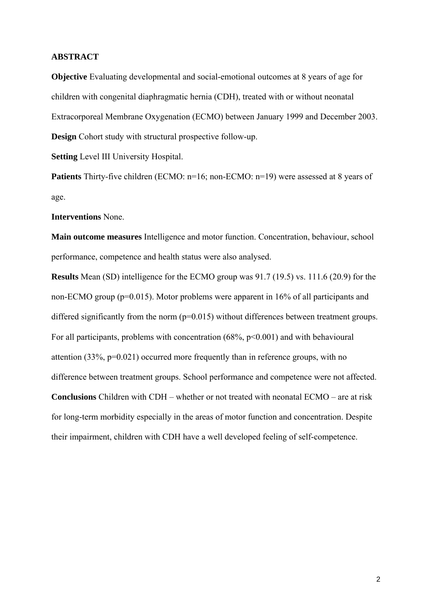## **ABSTRACT**

**Objective** Evaluating developmental and social-emotional outcomes at 8 years of age for children with congenital diaphragmatic hernia (CDH), treated with or without neonatal Extracorporeal Membrane Oxygenation (ECMO) between January 1999 and December 2003. **Design** Cohort study with structural prospective follow-up.

**Setting** Level III University Hospital.

**Patients** Thirty-five children (ECMO: n=16; non-ECMO: n=19) were assessed at 8 years of age.

**Interventions** None.

**Main outcome measures** Intelligence and motor function. Concentration, behaviour, school performance, competence and health status were also analysed.

**Results** Mean (SD) intelligence for the ECMO group was 91.7 (19.5) vs. 111.6 (20.9) for the non-ECMO group (p=0.015). Motor problems were apparent in 16% of all participants and differed significantly from the norm ( $p=0.015$ ) without differences between treatment groups. For all participants, problems with concentration  $(68\%, p<0.001)$  and with behavioural attention (33%, p=0.021) occurred more frequently than in reference groups, with no difference between treatment groups. School performance and competence were not affected. **Conclusions** Children with CDH – whether or not treated with neonatal ECMO – are at risk for long-term morbidity especially in the areas of motor function and concentration. Despite their impairment, children with CDH have a well developed feeling of self-competence.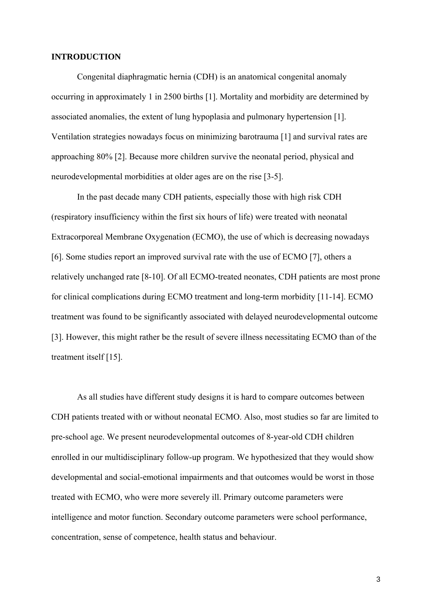## **INTRODUCTION**

Congenital diaphragmatic hernia (CDH) is an anatomical congenital anomaly occurring in approximately 1 in 2500 births [1]. Mortality and morbidity are determined by associated anomalies, the extent of lung hypoplasia and pulmonary hypertension [1]. Ventilation strategies nowadays focus on minimizing barotrauma [1] and survival rates are approaching 80% [2]. Because more children survive the neonatal period, physical and neurodevelopmental morbidities at older ages are on the rise [3-5].

In the past decade many CDH patients, especially those with high risk CDH (respiratory insufficiency within the first six hours of life) were treated with neonatal Extracorporeal Membrane Oxygenation (ECMO), the use of which is decreasing nowadays [6]. Some studies report an improved survival rate with the use of ECMO [7], others a relatively unchanged rate [8-10]. Of all ECMO-treated neonates, CDH patients are most prone for clinical complications during ECMO treatment and long-term morbidity [11-14]. ECMO treatment was found to be significantly associated with delayed neurodevelopmental outcome [3]. However, this might rather be the result of severe illness necessitating ECMO than of the treatment itself [15].

As all studies have different study designs it is hard to compare outcomes between CDH patients treated with or without neonatal ECMO. Also, most studies so far are limited to pre-school age. We present neurodevelopmental outcomes of 8-year-old CDH children enrolled in our multidisciplinary follow-up program. We hypothesized that they would show developmental and social-emotional impairments and that outcomes would be worst in those treated with ECMO, who were more severely ill. Primary outcome parameters were intelligence and motor function. Secondary outcome parameters were school performance, concentration, sense of competence, health status and behaviour.

3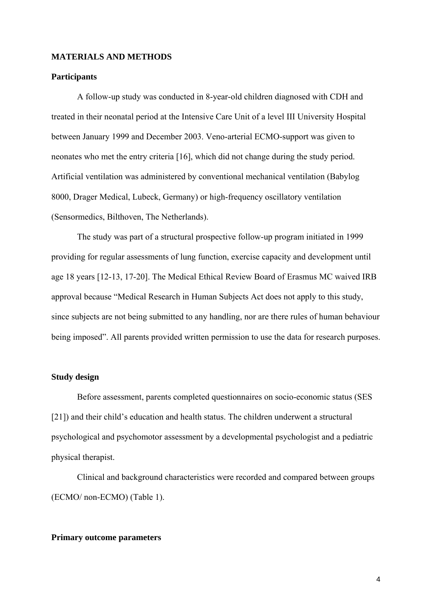## **MATERIALS AND METHODS**

## **Participants**

A follow-up study was conducted in 8-year-old children diagnosed with CDH and treated in their neonatal period at the Intensive Care Unit of a level III University Hospital between January 1999 and December 2003. Veno-arterial ECMO-support was given to neonates who met the entry criteria [16], which did not change during the study period. Artificial ventilation was administered by conventional mechanical ventilation (Babylog 8000, Drager Medical, Lubeck, Germany) or high-frequency oscillatory ventilation (Sensormedics, Bilthoven, The Netherlands).

The study was part of a structural prospective follow-up program initiated in 1999 providing for regular assessments of lung function, exercise capacity and development until age 18 years [12-13, 17-20]. The Medical Ethical Review Board of Erasmus MC waived IRB approval because "Medical Research in Human Subjects Act does not apply to this study, since subjects are not being submitted to any handling, nor are there rules of human behaviour being imposed". All parents provided written permission to use the data for research purposes.

## **Study design**

Before assessment, parents completed questionnaires on socio-economic status (SES [21]) and their child's education and health status. The children underwent a structural psychological and psychomotor assessment by a developmental psychologist and a pediatric physical therapist.

Clinical and background characteristics were recorded and compared between groups (ECMO/ non-ECMO) (Table 1).

#### **Primary outcome parameters**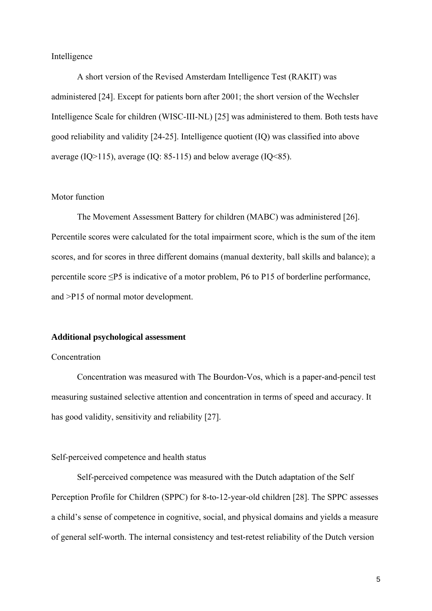## Intelligence

A short version of the Revised Amsterdam Intelligence Test (RAKIT) was administered [24]. Except for patients born after 2001; the short version of the Wechsler Intelligence Scale for children (WISC-III-NL) [25] was administered to them. Both tests have good reliability and validity [24-25]. Intelligence quotient (IQ) was classified into above average (IO>115), average (IO: 85-115) and below average (IO<85).

## Motor function

The Movement Assessment Battery for children (MABC) was administered [26]. Percentile scores were calculated for the total impairment score, which is the sum of the item scores, and for scores in three different domains (manual dexterity, ball skills and balance); a percentile score ≤P5 is indicative of a motor problem, P6 to P15 of borderline performance, and >P15 of normal motor development.

#### **Additional psychological assessment**

## Concentration

Concentration was measured with The Bourdon-Vos, which is a paper-and-pencil test measuring sustained selective attention and concentration in terms of speed and accuracy. It has good validity, sensitivity and reliability [27].

## Self-perceived competence and health status

Self-perceived competence was measured with the Dutch adaptation of the Self Perception Profile for Children (SPPC) for 8-to-12-year-old children [28]. The SPPC assesses a child's sense of competence in cognitive, social, and physical domains and yields a measure of general self-worth. The internal consistency and test-retest reliability of the Dutch version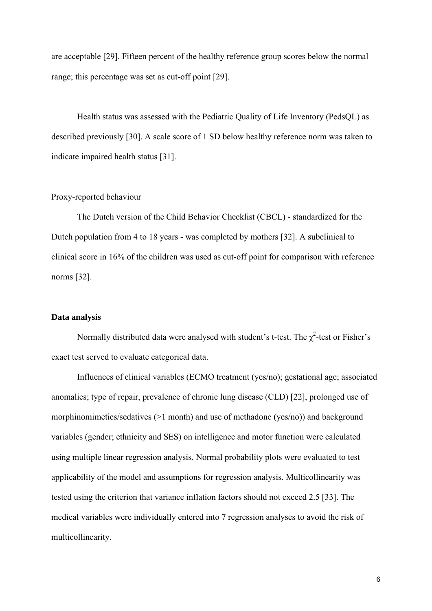are acceptable [29]. Fifteen percent of the healthy reference group scores below the normal range; this percentage was set as cut-off point [29].

Health status was assessed with the Pediatric Quality of Life Inventory (PedsQL) as described previously [30]. A scale score of 1 SD below healthy reference norm was taken to indicate impaired health status [31].

## Proxy-reported behaviour

The Dutch version of the Child Behavior Checklist (CBCL) - standardized for the Dutch population from 4 to 18 years - was completed by mothers [32]. A subclinical to clinical score in 16% of the children was used as cut-off point for comparison with reference norms [32].

#### **Data analysis**

Normally distributed data were analysed with student's t-test. The  $\chi^2$ -test or Fisher's exact test served to evaluate categorical data.

Influences of clinical variables (ECMO treatment (yes/no); gestational age; associated anomalies; type of repair, prevalence of chronic lung disease (CLD) [22], prolonged use of morphinomimetics/sedatives (>1 month) and use of methadone (yes/no)) and background variables (gender; ethnicity and SES) on intelligence and motor function were calculated using multiple linear regression analysis. Normal probability plots were evaluated to test applicability of the model and assumptions for regression analysis. Multicollinearity was tested using the criterion that variance inflation factors should not exceed 2.5 [33]. The medical variables were individually entered into 7 regression analyses to avoid the risk of multicollinearity.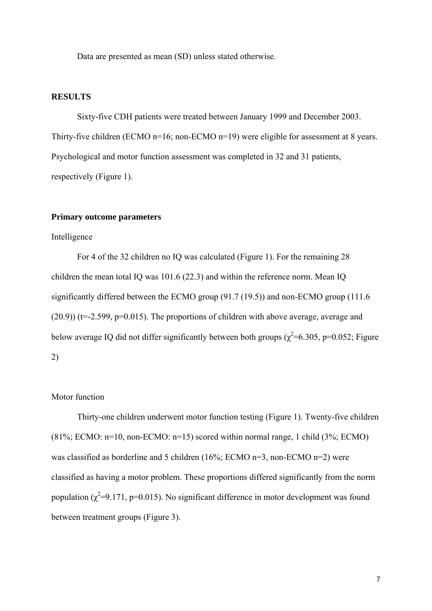Data are presented as mean (SD) unless stated otherwise.

## **RESULTS**

Sixty-five CDH patients were treated between January 1999 and December 2003. Thirty-five children (ECMO n=16; non-ECMO n=19) were eligible for assessment at 8 years. Psychological and motor function assessment was completed in 32 and 31 patients, respectively (Figure 1).

## **Primary outcome parameters**

## Intelligence

For 4 of the 32 children no IQ was calculated (Figure 1). For the remaining 28 children the mean total IQ was 101.6 (22.3) and within the reference norm. Mean IQ significantly differed between the ECMO group (91.7 (19.5)) and non-ECMO group (111.6  $(20.9)$ ) (t=-2.599, p=0.015). The proportions of children with above average, average and below average IQ did not differ significantly between both groups ( $\chi^2$ =6.305, p=0.052; Figure 2)

## Motor function

Thirty-one children underwent motor function testing (Figure 1). Twenty-five children  $(81\%; ECMO; n=10, non-ECMO; n=15)$  scored within normal range, 1 child  $(3\%; ECMO)$ was classified as borderline and 5 children (16%; ECMO n=3, non-ECMO n=2) were classified as having a motor problem. These proportions differed significantly from the norm population  $(\chi^2=9.171, p=0.015)$ . No significant difference in motor development was found between treatment groups (Figure 3).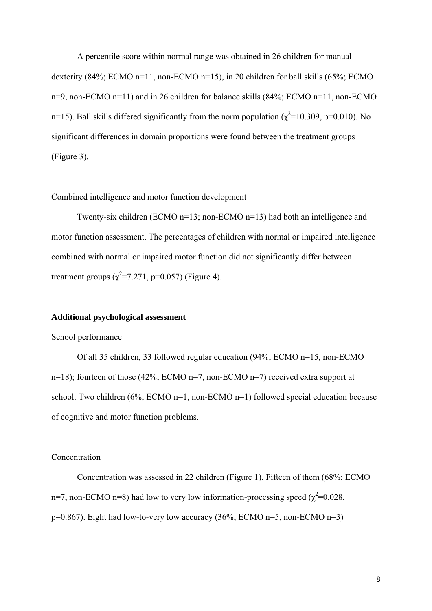A percentile score within normal range was obtained in 26 children for manual dexterity (84%; ECMO n=11, non-ECMO n=15), in 20 children for ball skills (65%; ECMO n=9, non-ECMO n=11) and in 26 children for balance skills (84%; ECMO n=11, non-ECMO n=15). Ball skills differed significantly from the norm population ( $\chi^2$ =10.309, p=0.010). No significant differences in domain proportions were found between the treatment groups (Figure 3).

## Combined intelligence and motor function development

Twenty-six children (ECMO n=13; non-ECMO n=13) had both an intelligence and motor function assessment. The percentages of children with normal or impaired intelligence combined with normal or impaired motor function did not significantly differ between treatment groups  $(\chi^2 = 7.271, p = 0.057)$  (Figure 4).

## **Additional psychological assessment**

#### School performance

Of all 35 children, 33 followed regular education (94%; ECMO n=15, non-ECMO n=18); fourteen of those (42%; ECMO n=7, non-ECMO n=7) received extra support at school. Two children (6%; ECMO n=1, non-ECMO n=1) followed special education because of cognitive and motor function problems.

## Concentration

Concentration was assessed in 22 children (Figure 1). Fifteen of them (68%; ECMO n=7, non-ECMO n=8) had low to very low information-processing speed ( $\chi^2$ =0.028,  $p=0.867$ ). Eight had low-to-very low accuracy (36%; ECMO n=5, non-ECMO n=3)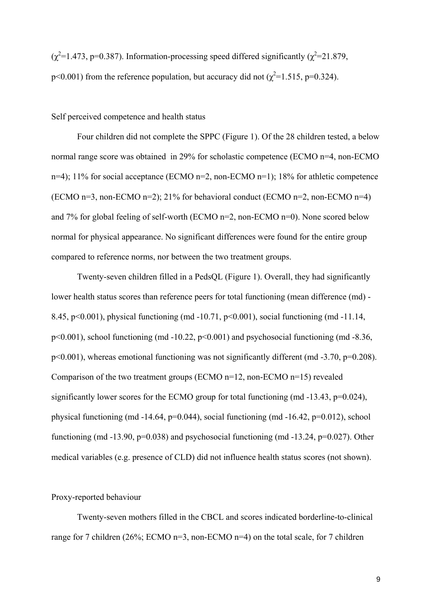$(\chi^2=1.473, p=0.387)$ . Information-processing speed differed significantly  $(\chi^2=21.879,$ p<0.001) from the reference population, but accuracy did not ( $\chi^2$ =1.515, p=0.324).

Self perceived competence and health status

Four children did not complete the SPPC (Figure 1). Of the 28 children tested, a below normal range score was obtained in 29% for scholastic competence (ECMO n=4, non-ECMO n=4); 11% for social acceptance (ECMO n=2, non-ECMO n=1); 18% for athletic competence (ECMO n=3, non-ECMO n=2); 21% for behavioral conduct (ECMO n=2, non-ECMO n=4) and 7% for global feeling of self-worth (ECMO n=2, non-ECMO n=0). None scored below normal for physical appearance. No significant differences were found for the entire group compared to reference norms, nor between the two treatment groups.

Twenty-seven children filled in a PedsQL (Figure 1). Overall, they had significantly lower health status scores than reference peers for total functioning (mean difference (md) - 8.45, p<0.001), physical functioning (md -10.71, p<0.001), social functioning (md -11.14,  $p<0.001$ ), school functioning (md -10.22,  $p<0.001$ ) and psychosocial functioning (md -8.36, p<0.001), whereas emotional functioning was not significantly different (md -3.70, p=0.208). Comparison of the two treatment groups (ECMO n=12, non-ECMO n=15) revealed significantly lower scores for the ECMO group for total functioning (md -13.43, p=0.024), physical functioning (md -14.64, p=0.044), social functioning (md -16.42, p=0.012), school functioning (md  $-13.90$ , p=0.038) and psychosocial functioning (md  $-13.24$ , p=0.027). Other medical variables (e.g. presence of CLD) did not influence health status scores (not shown).

Proxy-reported behaviour

Twenty-seven mothers filled in the CBCL and scores indicated borderline-to-clinical range for 7 children (26%; ECMO n=3, non-ECMO n=4) on the total scale, for 7 children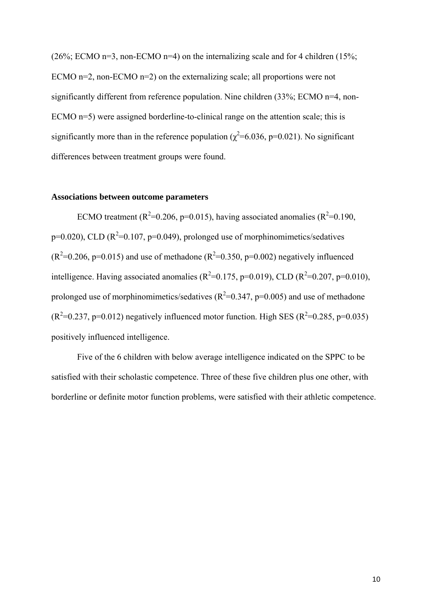(26%; ECMO n=3, non-ECMO n=4) on the internalizing scale and for 4 children (15%; ECMO n=2, non-ECMO n=2) on the externalizing scale; all proportions were not significantly different from reference population. Nine children (33%; ECMO n=4, non-ECMO n=5) were assigned borderline-to-clinical range on the attention scale; this is significantly more than in the reference population ( $\chi^2$ =6.036, p=0.021). No significant differences between treatment groups were found.

## **Associations between outcome parameters**

ECMO treatment ( $R^2$ =0.206, p=0.015), having associated anomalies ( $R^2$ =0.190,  $p=0.020$ ), CLD ( $R^2=0.107$ ,  $p=0.049$ ), prolonged use of morphinomimetics/sedatives  $(R^2=0.206, p=0.015)$  and use of methadone  $(R^2=0.350, p=0.002)$  negatively influenced intelligence. Having associated anomalies ( $R^2$ =0.175, p=0.019), CLD ( $R^2$ =0.207, p=0.010), prolonged use of morphinomimetics/sedatives ( $R^2$ =0.347, p=0.005) and use of methadone  $(R^2=0.237, p=0.012)$  negatively influenced motor function. High SES  $(R^2=0.285, p=0.035)$ positively influenced intelligence.

 Five of the 6 children with below average intelligence indicated on the SPPC to be satisfied with their scholastic competence. Three of these five children plus one other, with borderline or definite motor function problems, were satisfied with their athletic competence.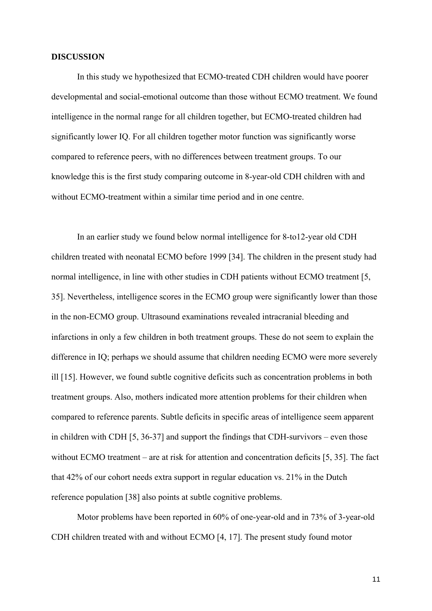## **DISCUSSION**

In this study we hypothesized that ECMO-treated CDH children would have poorer developmental and social-emotional outcome than those without ECMO treatment. We found intelligence in the normal range for all children together, but ECMO-treated children had significantly lower IQ. For all children together motor function was significantly worse compared to reference peers, with no differences between treatment groups. To our knowledge this is the first study comparing outcome in 8-year-old CDH children with and without ECMO-treatment within a similar time period and in one centre.

In an earlier study we found below normal intelligence for 8-to12-year old CDH children treated with neonatal ECMO before 1999 [34]. The children in the present study had normal intelligence, in line with other studies in CDH patients without ECMO treatment [5, 35]. Nevertheless, intelligence scores in the ECMO group were significantly lower than those in the non-ECMO group. Ultrasound examinations revealed intracranial bleeding and infarctions in only a few children in both treatment groups. These do not seem to explain the difference in IQ; perhaps we should assume that children needing ECMO were more severely ill [15]. However, we found subtle cognitive deficits such as concentration problems in both treatment groups. Also, mothers indicated more attention problems for their children when compared to reference parents. Subtle deficits in specific areas of intelligence seem apparent in children with CDH [5, 36-37] and support the findings that CDH-survivors – even those without ECMO treatment – are at risk for attention and concentration deficits [5, 35]. The fact that 42% of our cohort needs extra support in regular education vs. 21% in the Dutch reference population [38] also points at subtle cognitive problems.

Motor problems have been reported in 60% of one-year-old and in 73% of 3-year-old CDH children treated with and without ECMO [4, 17]. The present study found motor

11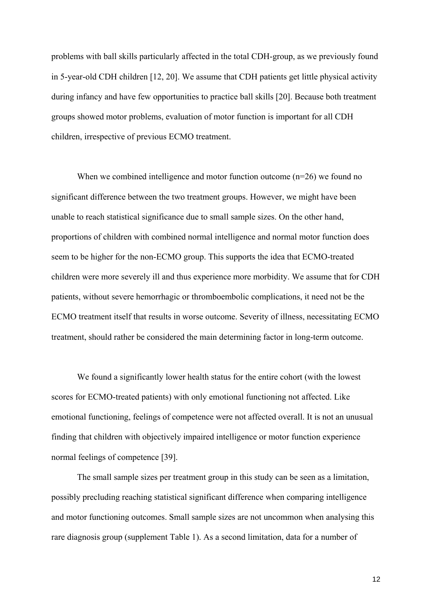problems with ball skills particularly affected in the total CDH-group, as we previously found in 5-year-old CDH children [12, 20]. We assume that CDH patients get little physical activity during infancy and have few opportunities to practice ball skills [20]. Because both treatment groups showed motor problems, evaluation of motor function is important for all CDH children, irrespective of previous ECMO treatment.

When we combined intelligence and motor function outcome (n=26) we found no significant difference between the two treatment groups. However, we might have been unable to reach statistical significance due to small sample sizes. On the other hand, proportions of children with combined normal intelligence and normal motor function does seem to be higher for the non-ECMO group. This supports the idea that ECMO-treated children were more severely ill and thus experience more morbidity. We assume that for CDH patients, without severe hemorrhagic or thromboembolic complications, it need not be the ECMO treatment itself that results in worse outcome. Severity of illness, necessitating ECMO treatment, should rather be considered the main determining factor in long-term outcome.

We found a significantly lower health status for the entire cohort (with the lowest scores for ECMO-treated patients) with only emotional functioning not affected. Like emotional functioning, feelings of competence were not affected overall. It is not an unusual finding that children with objectively impaired intelligence or motor function experience normal feelings of competence [39].

The small sample sizes per treatment group in this study can be seen as a limitation, possibly precluding reaching statistical significant difference when comparing intelligence and motor functioning outcomes. Small sample sizes are not uncommon when analysing this rare diagnosis group (supplement Table 1). As a second limitation, data for a number of

12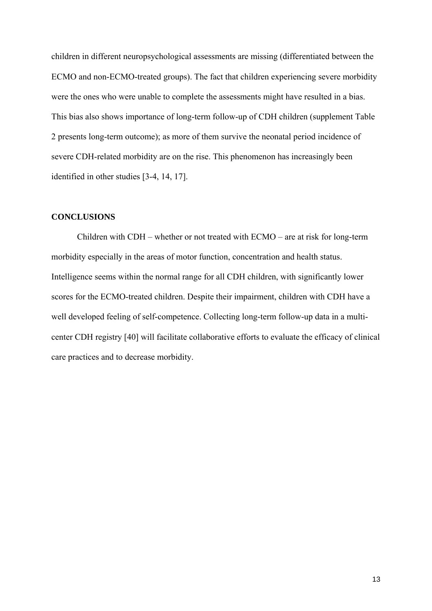children in different neuropsychological assessments are missing (differentiated between the ECMO and non-ECMO-treated groups). The fact that children experiencing severe morbidity were the ones who were unable to complete the assessments might have resulted in a bias. This bias also shows importance of long-term follow-up of CDH children (supplement Table 2 presents long-term outcome); as more of them survive the neonatal period incidence of severe CDH-related morbidity are on the rise. This phenomenon has increasingly been identified in other studies [3-4, 14, 17].

## **CONCLUSIONS**

Children with CDH – whether or not treated with ECMO – are at risk for long-term morbidity especially in the areas of motor function, concentration and health status. Intelligence seems within the normal range for all CDH children, with significantly lower scores for the ECMO-treated children. Despite their impairment, children with CDH have a well developed feeling of self-competence. Collecting long-term follow-up data in a multicenter CDH registry [40] will facilitate collaborative efforts to evaluate the efficacy of clinical care practices and to decrease morbidity.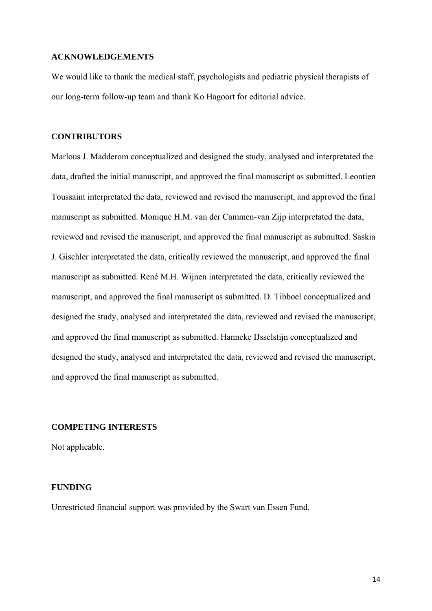## **ACKNOWLEDGEMENTS**

We would like to thank the medical staff, psychologists and pediatric physical therapists of our long-term follow-up team and thank Ko Hagoort for editorial advice.

## **CONTRIBUTORS**

Marlous J. Madderom conceptualized and designed the study, analysed and interpretated the data, drafted the initial manuscript, and approved the final manuscript as submitted. Leontien Toussaint interpretated the data, reviewed and revised the manuscript, and approved the final manuscript as submitted. Monique H.M. van der Cammen-van Zijp interpretated the data, reviewed and revised the manuscript, and approved the final manuscript as submitted. Saskia J. Gischler interpretated the data, critically reviewed the manuscript, and approved the final manuscript as submitted. René M.H. Wijnen interpretated the data, critically reviewed the manuscript, and approved the final manuscript as submitted. D. Tibboel conceptualized and designed the study, analysed and interpretated the data, reviewed and revised the manuscript, and approved the final manuscript as submitted. Hanneke IJsselstijn conceptualized and designed the study, analysed and interpretated the data, reviewed and revised the manuscript, and approved the final manuscript as submitted.

## **COMPETING INTERESTS**

Not applicable.

#### **FUNDING**

Unrestricted financial support was provided by the Swart van Essen Fund.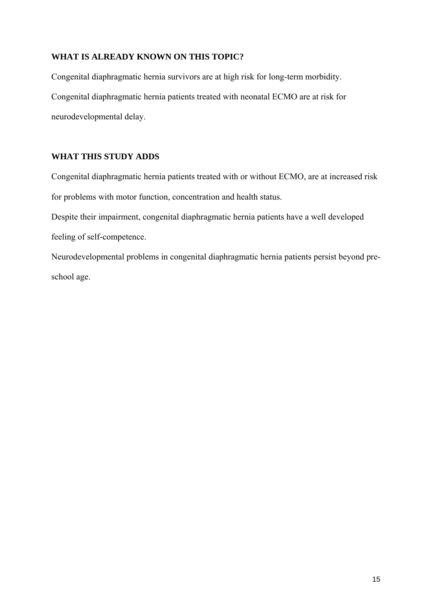# **WHAT IS ALREADY KNOWN ON THIS TOPIC?**

Congenital diaphragmatic hernia survivors are at high risk for long-term morbidity. Congenital diaphragmatic hernia patients treated with neonatal ECMO are at risk for neurodevelopmental delay.

# **WHAT THIS STUDY ADDS**

Congenital diaphragmatic hernia patients treated with or without ECMO, are at increased risk for problems with motor function, concentration and health status.

Despite their impairment, congenital diaphragmatic hernia patients have a well developed feeling of self-competence.

Neurodevelopmental problems in congenital diaphragmatic hernia patients persist beyond preschool age.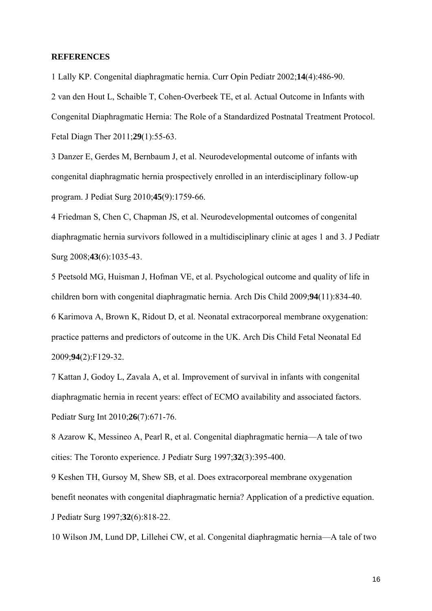## **REFERENCES**

1 Lally KP. Congenital diaphragmatic hernia. Curr Opin Pediatr 2002;**14**(4):486-90.

2 van den Hout L, Schaible T, Cohen-Overbeek TE, et al. Actual Outcome in Infants with Congenital Diaphragmatic Hernia: The Role of a Standardized Postnatal Treatment Protocol. Fetal Diagn Ther 2011;**29**(1):55-63.

3 Danzer E, Gerdes M, Bernbaum J, et al. Neurodevelopmental outcome of infants with congenital diaphragmatic hernia prospectively enrolled in an interdisciplinary follow-up program. J Pediat Surg 2010;**45**(9):1759-66.

4 Friedman S, Chen C, Chapman JS, et al. Neurodevelopmental outcomes of congenital diaphragmatic hernia survivors followed in a multidisciplinary clinic at ages 1 and 3. J Pediatr Surg 2008;**43**(6):1035-43.

5 Peetsold MG, Huisman J, Hofman VE, et al. Psychological outcome and quality of life in children born with congenital diaphragmatic hernia. Arch Dis Child 2009;**94**(11):834-40. 6 Karimova A, Brown K, Ridout D, et al. Neonatal extracorporeal membrane oxygenation: practice patterns and predictors of outcome in the UK. Arch Dis Child Fetal Neonatal Ed 2009;**94**(2):F129-32.

7 Kattan J, Godoy L, Zavala A, et al. Improvement of survival in infants with congenital diaphragmatic hernia in recent years: effect of ECMO availability and associated factors. Pediatr Surg Int 2010;**26**(7):671-76.

8 Azarow K, Messineo A, Pearl R, et al. Congenital diaphragmatic hernia—A tale of two cities: The Toronto experience. J Pediatr Surg 1997;**32**(3):395-400.

9 Keshen TH, Gursoy M, Shew SB, et al. Does extracorporeal membrane oxygenation benefit neonates with congenital diaphragmatic hernia? Application of a predictive equation. J Pediatr Surg 1997;**32**(6):818-22.

10 Wilson JM, Lund DP, Lillehei CW, et al. Congenital diaphragmatic hernia—A tale of two

16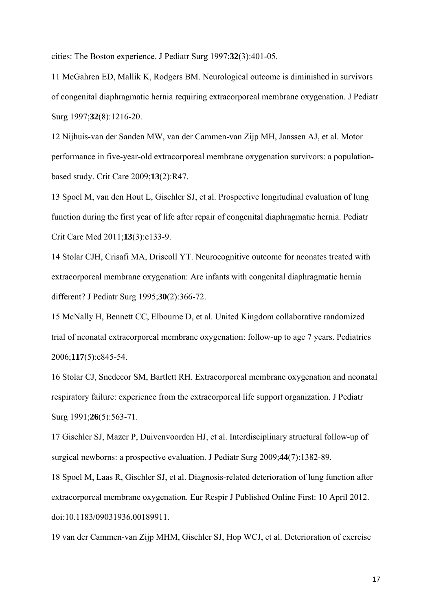cities: The Boston experience. J Pediatr Surg 1997;**32**(3):401-05.

11 McGahren ED, Mallik K, Rodgers BM. Neurological outcome is diminished in survivors of congenital diaphragmatic hernia requiring extracorporeal membrane oxygenation. J Pediatr Surg 1997;**32**(8):1216-20.

12 Nijhuis-van der Sanden MW, van der Cammen-van Zijp MH, Janssen AJ, et al. Motor performance in five-year-old extracorporeal membrane oxygenation survivors: a populationbased study. Crit Care 2009;**13**(2):R47.

13 Spoel M, van den Hout L, Gischler SJ, et al. Prospective longitudinal evaluation of lung function during the first year of life after repair of congenital diaphragmatic hernia. Pediatr Crit Care Med 2011;**13**(3):e133-9.

14 Stolar CJH, Crisafi MA, Driscoll YT. Neurocognitive outcome for neonates treated with extracorporeal membrane oxygenation: Are infants with congenital diaphragmatic hernia different? J Pediatr Surg 1995;**30**(2):366-72.

15 McNally H, Bennett CC, Elbourne D, et al. United Kingdom collaborative randomized trial of neonatal extracorporeal membrane oxygenation: follow-up to age 7 years. Pediatrics 2006;**117**(5):e845-54.

16 Stolar CJ, Snedecor SM, Bartlett RH. Extracorporeal membrane oxygenation and neonatal respiratory failure: experience from the extracorporeal life support organization. J Pediatr Surg 1991;**26**(5):563-71.

17 Gischler SJ, Mazer P, Duivenvoorden HJ, et al. Interdisciplinary structural follow-up of surgical newborns: a prospective evaluation. J Pediatr Surg 2009;**44**(7):1382-89.

18 Spoel M, Laas R, Gischler SJ, et al. Diagnosis-related deterioration of lung function after extracorporeal membrane oxygenation. Eur Respir J Published Online First: 10 April 2012. doi:10.1183/09031936.00189911.

19 van der Cammen-van Zijp MHM, Gischler SJ, Hop WCJ, et al. Deterioration of exercise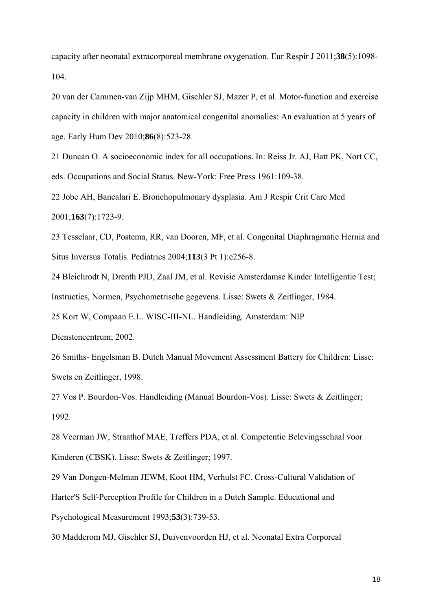capacity after neonatal extracorporeal membrane oxygenation. Eur Respir J 2011;**38**(5):1098- 104.

20 van der Cammen-van Zijp MHM, Gischler SJ, Mazer P, et al. Motor-function and exercise capacity in children with major anatomical congenital anomalies: An evaluation at 5 years of age. Early Hum Dev 2010;**86**(8):523-28.

21 Duncan O. A socioeconomic index for all occupations. In: Reiss Jr. AJ, Hatt PK, Nort CC, eds. Occupations and Social Status. New-York: Free Press 1961:109-38.

22 Jobe AH, Bancalari E. Bronchopulmonary dysplasia. Am J Respir Crit Care Med 2001;**163**(7):1723-9.

23 Tesselaar, CD, Postema, RR, van Dooren, MF, et al. Congenital Diaphragmatic Hernia and Situs Inversus Totalis. Pediatrics 2004;**113**(3 Pt 1):e256-8.

24 Bleichrodt N, Drenth PJD, Zaal JM, et al. Revisie Amsterdamse Kinder Intelligentie Test; Instructies, Normen, Psychometrische gegevens. Lisse: Swets & Zeitlinger, 1984.

25 Kort W, Compaan E.L. WISC-III-NL. Handleiding*.* Amsterdam: NIP

Dienstencentrum; 2002.

26 Smiths- Engelsman B. Dutch Manual Movement Assessment Battery for Children: Lisse: Swets en Zeitlinger, 1998.

27 Vos P. Bourdon-Vos. Handleiding (Manual Bourdon-Vos). Lisse: Swets & Zeitlinger; 1992.

28 Veerman JW, Straathof MAE, Treffers PDA, et al. Competentie Belevingsschaal voor Kinderen (CBSK). Lisse: Swets & Zeitlinger; 1997.

29 Van Dongen-Melman JEWM, Koot HM, Verhulst FC. Cross-Cultural Validation of Harter'S Self-Perception Profile for Children in a Dutch Sample. Educational and Psychological Measurement 1993;**53**(3):739-53.

30 Madderom MJ, Gischler SJ, Duivenvoorden HJ, et al. Neonatal Extra Corporeal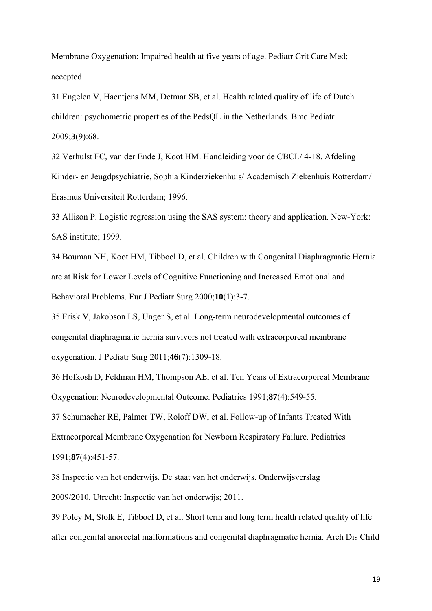Membrane Oxygenation: Impaired health at five years of age. Pediatr Crit Care Med; accepted.

31 Engelen V, Haentjens MM, Detmar SB, et al. Health related quality of life of Dutch children: psychometric properties of the PedsQL in the Netherlands. Bmc Pediatr 2009;**3**(9):68.

32 Verhulst FC, van der Ende J, Koot HM. Handleiding voor de CBCL/ 4-18. Afdeling Kinder- en Jeugdpsychiatrie, Sophia Kinderziekenhuis/ Academisch Ziekenhuis Rotterdam/ Erasmus Universiteit Rotterdam; 1996.

33 Allison P. Logistic regression using the SAS system: theory and application. New-York: SAS institute; 1999.

34 Bouman NH, Koot HM, Tibboel D, et al. Children with Congenital Diaphragmatic Hernia are at Risk for Lower Levels of Cognitive Functioning and Increased Emotional and Behavioral Problems. Eur J Pediatr Surg 2000;**10**(1):3-7.

35 Frisk V, Jakobson LS, Unger S, et al. Long-term neurodevelopmental outcomes of congenital diaphragmatic hernia survivors not treated with extracorporeal membrane oxygenation. J Pediatr Surg 2011;**46**(7):1309-18.

36 Hofkosh D, Feldman HM, Thompson AE, et al. Ten Years of Extracorporeal Membrane Oxygenation: Neurodevelopmental Outcome. Pediatrics 1991;**87**(4):549-55.

37 Schumacher RE, Palmer TW, Roloff DW, et al. Follow-up of Infants Treated With Extracorporeal Membrane Oxygenation for Newborn Respiratory Failure. Pediatrics 1991;**87**(4):451-57.

38 Inspectie van het onderwijs. De staat van het onderwijs. Onderwijsverslag 2009/2010. Utrecht: Inspectie van het onderwijs; 2011.

39 Poley M, Stolk E, Tibboel D, et al. Short term and long term health related quality of life after congenital anorectal malformations and congenital diaphragmatic hernia. Arch Dis Child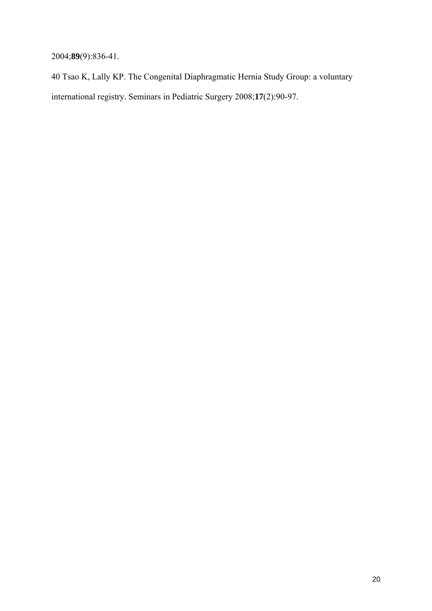2004;**89**(9):836-41.

40 Tsao K, Lally KP. The Congenital Diaphragmatic Hernia Study Group: a voluntary international registry. Seminars in Pediatric Surgery 2008;**17**(2):90-97.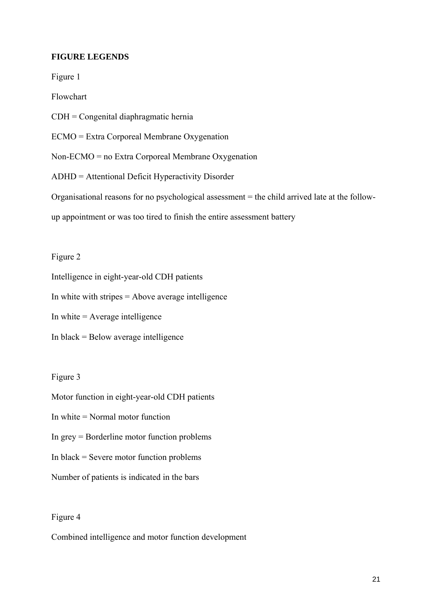## **FIGURE LEGENDS**

Figure 1

Flowchart

CDH = Congenital diaphragmatic hernia

ECMO = Extra Corporeal Membrane Oxygenation

Non-ECMO = no Extra Corporeal Membrane Oxygenation

ADHD = Attentional Deficit Hyperactivity Disorder

Organisational reasons for no psychological assessment = the child arrived late at the follow-

up appointment or was too tired to finish the entire assessment battery

Figure 2

Intelligence in eight-year-old CDH patients

In white with stripes = Above average intelligence

In white  $=$  Average intelligence

In black = Below average intelligence

## Figure 3

Motor function in eight-year-old CDH patients

In white = Normal motor function

In grey = Borderline motor function problems

In black = Severe motor function problems

Number of patients is indicated in the bars

## Figure 4

Combined intelligence and motor function development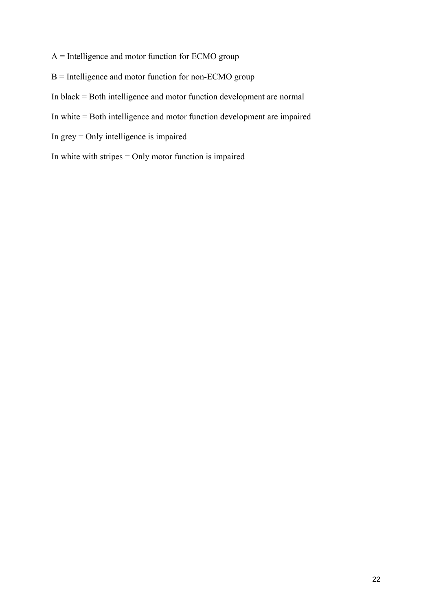- A = Intelligence and motor function for ECMO group
- B = Intelligence and motor function for non-ECMO group
- In black = Both intelligence and motor function development are normal
- In white = Both intelligence and motor function development are impaired
- In grey = Only intelligence is impaired
- In white with stripes = Only motor function is impaired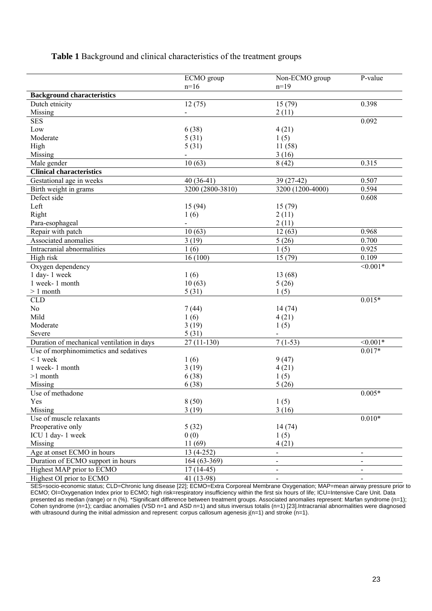# **Table 1** Background and clinical characteristics of the treatment groups

|                                            | ECMO group       | Non-ECMO group           | P-value    |
|--------------------------------------------|------------------|--------------------------|------------|
|                                            | $n=16$           | $n=19$                   |            |
| <b>Background characteristics</b>          |                  |                          |            |
| Dutch etnicity                             | 12(75)           | $\overline{15}$ (79)     | 0.398      |
| Missing                                    |                  | 2(11)                    |            |
| <b>SES</b>                                 |                  |                          | 0.092      |
| Low                                        | 6(38)            | 4(21)                    |            |
| Moderate                                   | 5(31)            | 1(5)                     |            |
| High                                       | 5(31)            | 11(58)                   |            |
| Missing                                    |                  | 3(16)                    |            |
| Male gender                                | 10(63)           | 8(42)                    | 0.315      |
| <b>Clinical characteristics</b>            |                  |                          |            |
| Gestational age in weeks                   | $40(36-41)$      | 39 (27-42)               | 0.507      |
| Birth weight in grams                      | 3200 (2800-3810) | 3200 (1200-4000)         | 0.594      |
| Defect side                                |                  |                          | 0.608      |
| Left                                       | 15 (94)          | 15(79)                   |            |
| Right                                      | 1(6)             | 2(11)                    |            |
| Para-esophageal                            |                  | 2(11)                    |            |
| Repair with patch                          | 10(63)           | 12(63)                   | 0.968      |
| Associated anomalies                       | 3(19)            | 5(26)                    | 0.700      |
| Intracranial abnormalities                 | 1(6)             | 1(5)                     | 0.925      |
| High risk                                  | 16(100)          | 15(79)                   | 0.109      |
| Oxygen dependency                          |                  |                          | $< 0.001*$ |
| 1 day-1 week                               | 1(6)             | 13 (68)                  |            |
| 1 week-1 month                             | 10(63)           | 5(26)                    |            |
| $> 1$ month                                | 5(31)            | 1(5)                     |            |
| <b>CLD</b>                                 |                  |                          | $0.015*$   |
| N <sub>o</sub>                             | 7(44)            | 14(74)                   |            |
| Mild                                       | 1(6)             | 4(21)                    |            |
| Moderate                                   | 3(19)            | 1(5)                     |            |
| Severe                                     | 5(31)            |                          |            |
| Duration of mechanical ventilation in days | $27(11-130)$     | $7(1-53)$                | $< 0.001*$ |
| Use of morphinomimetics and sedatives      |                  |                          | $0.017*$   |
| $< 1$ week                                 | 1(6)             | 9(47)                    |            |
| 1 week-1 month                             | 3(19)            | 4(21)                    |            |
| $>1$ month                                 | 6(38)            | 1(5)                     |            |
| Missing                                    | 6(38)            | 5(26)                    |            |
| Use of methadone                           |                  |                          | $0.005*$   |
| Yes                                        | 8(50)            | 1(5)                     |            |
| Missing                                    | 3(19)            | 3(16)                    |            |
| Use of muscle relaxants                    |                  |                          | $0.010*$   |
| Preoperative only                          | 5(32)            | 14(74)                   |            |
| ICU 1 day-1 week                           | 0(0)             | 1(5)                     |            |
| Missing                                    | 11(69)           | 4(21)                    |            |
| Age at onset ECMO in hours                 | $13(4-252)$      |                          |            |
| Duration of ECMO support in hours          |                  |                          |            |
|                                            | 164 (63-369)     | $\overline{\phantom{0}}$ |            |
| Highest MAP prior to ECMO                  | $17(14-45)$      |                          |            |
| Highest OI prior to ECMO                   | 41 (13-98)       |                          |            |

SES=socio-economic status; CLD=Chronic lung disease [22]; ECMO=Extra Corporeal Membrane Oxygenation; MAP=mean airway pressure prior to ECMO; OI=Oxygenation Index prior to ECMO; high risk=respiratory insufficiency within the first six hours of life; ICU=Intensive Care Unit. Data presented as median (range) or n (%). \*Significant difference between treatment groups. Associated anomalies represent: Marfan syndrome (n=1); Cohen syndrome (n=1); cardiac anomalies (VSD n=1 and ASD n=1) and situs inversus totalis (n=1) [23].Intracranial abnormalities were diagnosed with ultrasound during the initial admission and represent: corpus callosum agenesis  $j(n=1)$  and stroke  $(n=1)$ .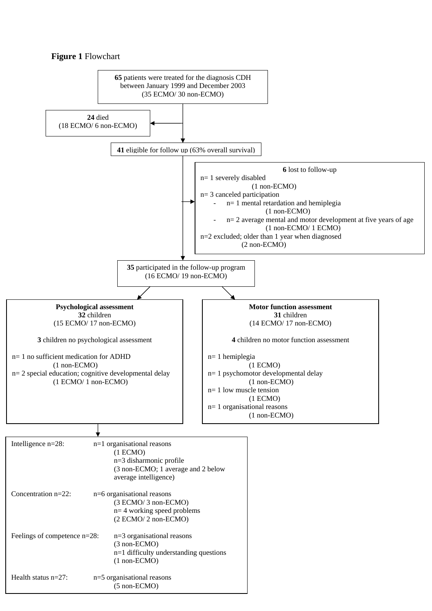## **Figure 1** Flowchart

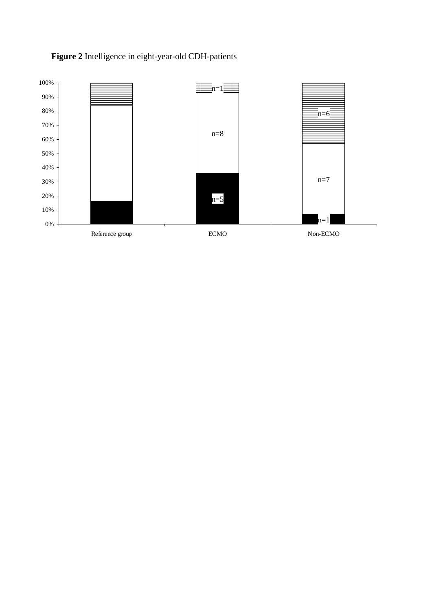# **Figure 2** Intelligence in eight-year-old CDH-patients

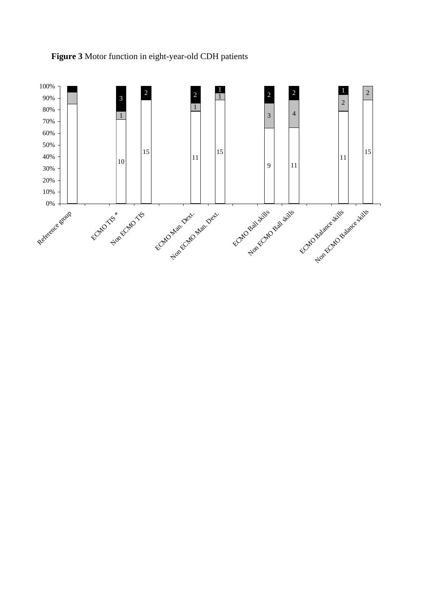

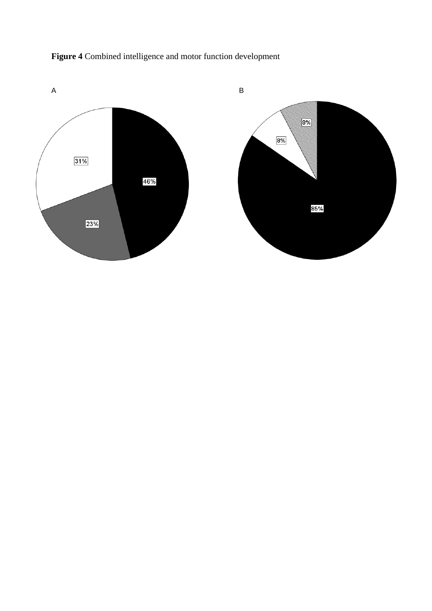

**Figure 4** Combined intelligence and motor function development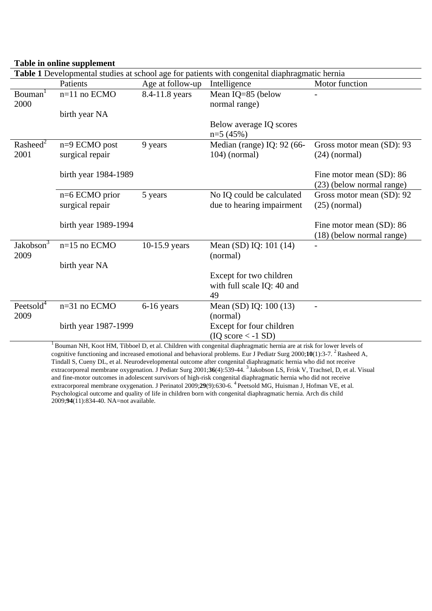# **Table in online supplement**

| Table 1 Developmental studies at school age for patients with congenital diaphragmatic hernia                                                                                                                                                         |                      |                  |                                                                                                                     |                           |  |  |  |
|-------------------------------------------------------------------------------------------------------------------------------------------------------------------------------------------------------------------------------------------------------|----------------------|------------------|---------------------------------------------------------------------------------------------------------------------|---------------------------|--|--|--|
|                                                                                                                                                                                                                                                       | Patients             | Age at follow-up | Intelligence                                                                                                        | Motor function            |  |  |  |
| Bouman <sup>1</sup>                                                                                                                                                                                                                                   | n=11 no ECMO         | 8.4-11.8 years   | Mean IQ=85 (below                                                                                                   |                           |  |  |  |
| 2000                                                                                                                                                                                                                                                  |                      |                  | normal range)                                                                                                       |                           |  |  |  |
|                                                                                                                                                                                                                                                       | birth year NA        |                  |                                                                                                                     |                           |  |  |  |
|                                                                                                                                                                                                                                                       |                      |                  | Below average IQ scores                                                                                             |                           |  |  |  |
|                                                                                                                                                                                                                                                       |                      |                  | $n=5(45%)$                                                                                                          |                           |  |  |  |
| $Rashed^2$                                                                                                                                                                                                                                            | n=9 ECMO post        | 9 years          | Median (range) IQ: 92 (66-                                                                                          | Gross motor mean (SD): 93 |  |  |  |
| 2001                                                                                                                                                                                                                                                  | surgical repair      |                  | $104)$ (normal)                                                                                                     | $(24)$ (normal)           |  |  |  |
|                                                                                                                                                                                                                                                       |                      |                  |                                                                                                                     |                           |  |  |  |
|                                                                                                                                                                                                                                                       | birth year 1984-1989 |                  |                                                                                                                     | Fine motor mean (SD): 86  |  |  |  |
|                                                                                                                                                                                                                                                       |                      |                  |                                                                                                                     | (23) (below normal range) |  |  |  |
|                                                                                                                                                                                                                                                       | $n=6$ ECMO prior     | 5 years          | No IQ could be calculated                                                                                           | Gross motor mean (SD): 92 |  |  |  |
|                                                                                                                                                                                                                                                       | surgical repair      |                  | due to hearing impairment                                                                                           | $(25)$ (normal)           |  |  |  |
|                                                                                                                                                                                                                                                       |                      |                  |                                                                                                                     |                           |  |  |  |
|                                                                                                                                                                                                                                                       | birth year 1989-1994 |                  |                                                                                                                     | Fine motor mean (SD): 86  |  |  |  |
|                                                                                                                                                                                                                                                       |                      |                  |                                                                                                                     | (18) (below normal range) |  |  |  |
| Jakobson <sup>3</sup>                                                                                                                                                                                                                                 | $n=15$ no ECMO       | 10-15.9 years    | Mean (SD) IQ: 101 (14)                                                                                              |                           |  |  |  |
| 2009                                                                                                                                                                                                                                                  |                      |                  | (normal)                                                                                                            |                           |  |  |  |
|                                                                                                                                                                                                                                                       | birth year NA        |                  |                                                                                                                     |                           |  |  |  |
|                                                                                                                                                                                                                                                       |                      |                  | Except for two children                                                                                             |                           |  |  |  |
|                                                                                                                                                                                                                                                       |                      |                  | with full scale IQ: 40 and                                                                                          |                           |  |  |  |
|                                                                                                                                                                                                                                                       |                      |                  | 49                                                                                                                  |                           |  |  |  |
| Peetsold <sup>4</sup>                                                                                                                                                                                                                                 | $n=31$ no ECMO       | 6-16 years       | Mean (SD) IQ: 100 (13)                                                                                              |                           |  |  |  |
| 2009                                                                                                                                                                                                                                                  |                      |                  | (normal)                                                                                                            |                           |  |  |  |
|                                                                                                                                                                                                                                                       | birth year 1987-1999 |                  | Except for four children                                                                                            |                           |  |  |  |
|                                                                                                                                                                                                                                                       |                      |                  | $(IO score < -1 SD)$                                                                                                |                           |  |  |  |
|                                                                                                                                                                                                                                                       |                      |                  | Bouman NH, Koot HM, Tibboel D, et al. Children with congenital diaphragmatic hernia are at risk for lower levels of |                           |  |  |  |
| cognitive functioning and increased emotional and behavioral problems. Eur J Pediatr Surg 2000;10(1):3-7. <sup>2</sup> Rasheed A,<br>Tindall S, Cueny DL, et al. Neurodevelopmental outcome after congenital diaphragmatic hernia who did not receive |                      |                  |                                                                                                                     |                           |  |  |  |
| extracorporeal membrane oxygenation. J Pediatr Surg 2001;36(4):539-44. $3$ Jakobson LS, Frisk V, Trachsel, D, et al. Visual                                                                                                                           |                      |                  |                                                                                                                     |                           |  |  |  |

extracorporeal membrane oxygenation. J Pediatr Surg 2001;**36**(4):539-44. 3 Jakobson LS, Frisk V, Trachsel, D, et al. Visual and fine-motor outcomes in adolescent survivors of high-risk congenital diaphragmatic hernia who did not receive extracorporeal membrane oxygenation. J Perinatol 2009;29(9):630-6. <sup>4</sup> Peetsold MG, Huisman J, Hofman VE, et al. Psychological outcome and quality of life in children born with congenital diaphragmatic hernia. Arch dis child 2009;**94**(11):834-40. NA=not available.